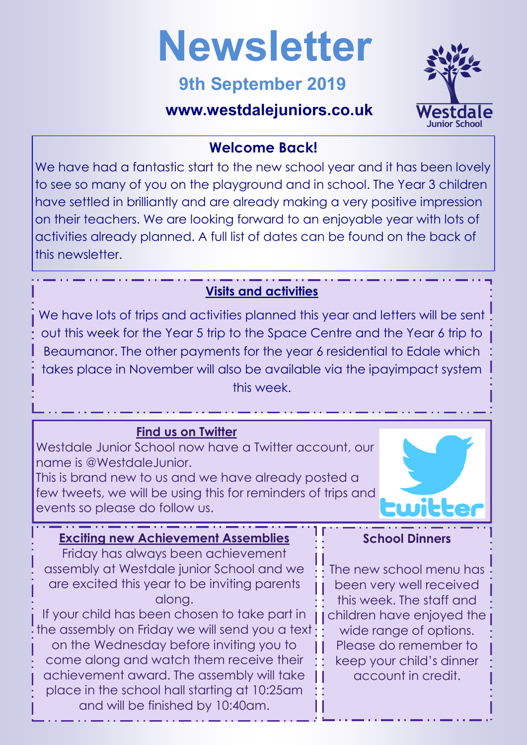

# **9th September 2019**

## **www.westdalejuniors.co.uk**



#### **Welcome Back!**

We have had a fantastic start to the new school year and it has been lovely to see so many of you on the playground and in school. The Year 3 children have settled in brilliantly and are already making a very positive impression on their teachers. We are looking forward to an enjoyable year with lots of activities already planned. A full list of dates can be found on the back of this newsletter.

### **Visits and activities**

We have lots of trips and activities planned this year and letters will be sent out this week for the Year 5 trip to the Space Centre and the Year 6 trip to Beaumanor. The other payments for the year 6 residential to Edale which takes place in November will also be available via the ipayimpact system this week.

#### **Find us on Twitter**

Westdale Junior School now have a Twitter account, our name is @WestdaleJunior.

This is brand new to us and we have already posted a few tweets, we will be using this for reminders of trips and events so please do follow us.



### **Exciting new Achievement Assemblies**

Friday has always been achievement assembly at Westdale junior School and we are excited this year to be inviting parents along.

If your child has been chosen to take part in the assembly on Friday we will send you a text on the Wednesday before inviting you to come along and watch them receive their achievement award. The assembly will take place in the school hall starting at 10:25am and will be finished by 10:40am.

#### **School Dinners**

The new school menu has been very well received this week. The staff and children have enjoyed the wide range of options. Please do remember to keep your child's dinner account in credit.